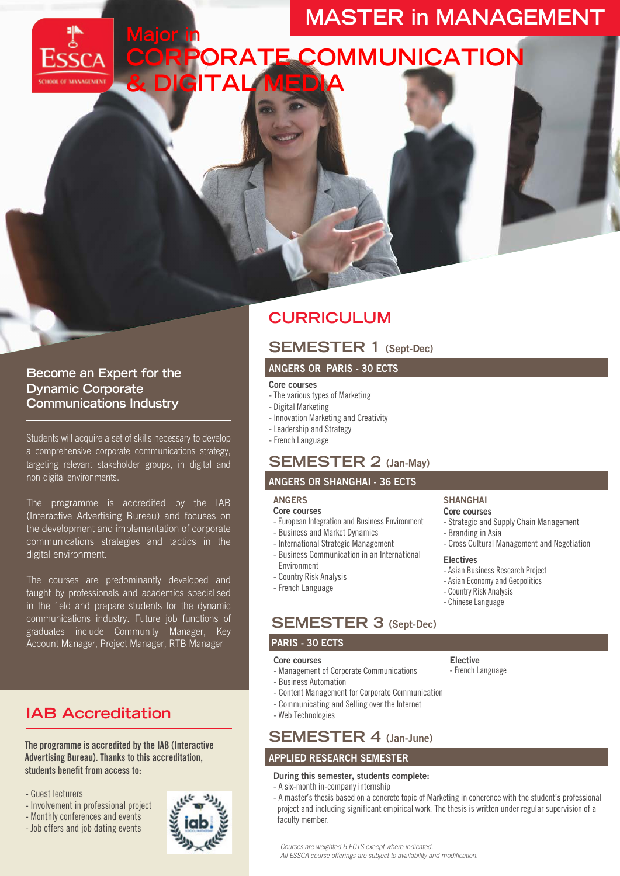# **MASTER in MANAGEMENT**

**CORPORATE COMMUNICATION & DIGITAL MEDIA**

## **Become an Expert for the Dynamic Corporate Communications Industry**

Students will acquire a set of skills necessary to develop a comprehensive corporate communications strategy, targeting relevant stakeholder groups, in digital and non-digital environments.

**Major in**

The programme is accredited by the IAB (Interactive Advertising Bureau) and focuses on the development and implementation of corporate communications strategies and tactics in the digital environment.

The courses are predominantly developed and taught by professionals and academics specialised in the field and prepare students for the dynamic communications industry. Future job functions of graduates include Community Manager, Key Account Manager, Project Manager, RTB Manager

## **IAB Accreditation**

The programme is accredited by the IAB (Interactive Advertising Bureau). Thanks to this accreditation, students benefit from access to:

- Guest lecturers
- Involvement in professional project
- Monthly conferences and events
- Job offers and job dating events

## **CURRICULUM**

## **SEMESTER 1 (Sept-Dec)**

#### **ANGERS OR PARIS - 30 ECTS**

#### Core courses

- The various types of Marketing
- Digital Marketing
- Innovation Marketing and Creativity
- Leadership and Strategy
- French Language

## **SEMESTER 2 (Jan-May)**

#### **ANGERS OR SHANGHAI - 36 ECTS**

#### **ANGERS**

- Core courses
- European Integration and Business Environment
- Business and Market Dynamics
- International Strategic Management
- Business Communication in an International Environment
- Country Risk Analysis
- French Language

## **SEMESTER 3 (Sept-Dec)**

#### PARIS - **30 ECTS**

#### Core courses

- Management of Corporate Communications
- Business Automation
- Content Management for Corporate Communication
- Communicating and Selling over the Internet
- Web Technologies

## **SEMESTER 4 (Jan-June)**

### **APPLIED RESEARCH SEMESTER**

#### **During this semester, students complete:**

- A six-month in-company internship
- A master's thesis based on a concrete topic of Marketing in coherence with the student's professional project and including significant empirical work. The thesis is written under regular supervision of a faculty member.

*Courses are weighted 6 ECTS except where indicated.*

*All ESSCA course offerings are subject to availability and modification.*

## **Elective**



- Strategic and Supply Chain Management - Branding in Asia - Cross Cultural Management and Negotiation

**SHANGHAI Core courses**

## **Electives**

- Asian Business Research Project
- Asian Economy and Geopolitics
- Country Risk Analysis
- Chinese Language
-